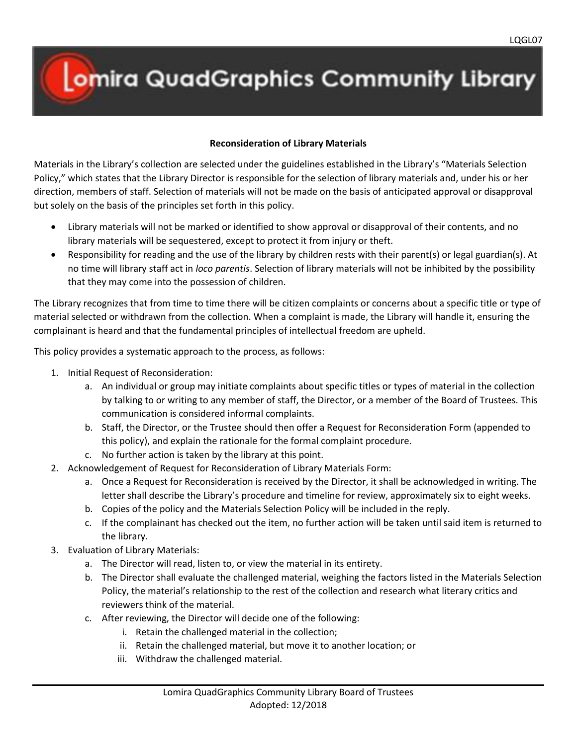## **Omira QuadGraphics Community Library**

## **Reconsideration of Library Materials**

Materials in the Library's collection are selected under the guidelines established in the Library's "Materials Selection Policy," which states that the Library Director is responsible for the selection of library materials and, under his or her direction, members of staff. Selection of materials will not be made on the basis of anticipated approval or disapproval but solely on the basis of the principles set forth in this policy.

- Library materials will not be marked or identified to show approval or disapproval of their contents, and no library materials will be sequestered, except to protect it from injury or theft.
- Responsibility for reading and the use of the library by children rests with their parent(s) or legal guardian(s). At no time will library staff act in *loco parentis*. Selection of library materials will not be inhibited by the possibility that they may come into the possession of children.

The Library recognizes that from time to time there will be citizen complaints or concerns about a specific title or type of material selected or withdrawn from the collection. When a complaint is made, the Library will handle it, ensuring the complainant is heard and that the fundamental principles of intellectual freedom are upheld.

This policy provides a systematic approach to the process, as follows:

- 1. Initial Request of Reconsideration:
	- a. An individual or group may initiate complaints about specific titles or types of material in the collection by talking to or writing to any member of staff, the Director, or a member of the Board of Trustees. This communication is considered informal complaints.
	- b. Staff, the Director, or the Trustee should then offer a Request for Reconsideration Form (appended to this policy), and explain the rationale for the formal complaint procedure.
	- c. No further action is taken by the library at this point.
- 2. Acknowledgement of Request for Reconsideration of Library Materials Form:
	- a. Once a Request for Reconsideration is received by the Director, it shall be acknowledged in writing. The letter shall describe the Library's procedure and timeline for review, approximately six to eight weeks.
	- b. Copies of the policy and the Materials Selection Policy will be included in the reply.
	- c. If the complainant has checked out the item, no further action will be taken until said item is returned to the library.
- 3. Evaluation of Library Materials:
	- a. The Director will read, listen to, or view the material in its entirety.
	- b. The Director shall evaluate the challenged material, weighing the factors listed in the Materials Selection Policy, the material's relationship to the rest of the collection and research what literary critics and reviewers think of the material.
	- c. After reviewing, the Director will decide one of the following:
		- i. Retain the challenged material in the collection;
		- ii. Retain the challenged material, but move it to another location; or
		- iii. Withdraw the challenged material.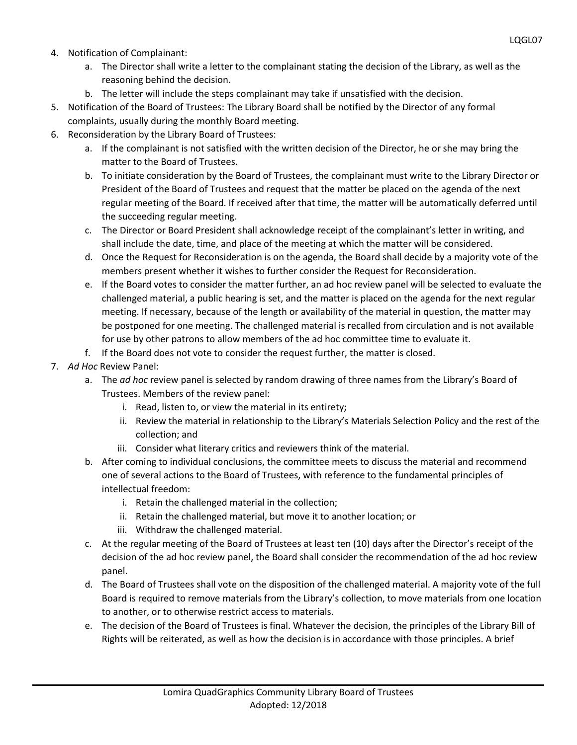- 4. Notification of Complainant:
	- a. The Director shall write a letter to the complainant stating the decision of the Library, as well as the reasoning behind the decision.
	- b. The letter will include the steps complainant may take if unsatisfied with the decision.
- 5. Notification of the Board of Trustees: The Library Board shall be notified by the Director of any formal complaints, usually during the monthly Board meeting.
- 6. Reconsideration by the Library Board of Trustees:
	- a. If the complainant is not satisfied with the written decision of the Director, he or she may bring the matter to the Board of Trustees.
	- b. To initiate consideration by the Board of Trustees, the complainant must write to the Library Director or President of the Board of Trustees and request that the matter be placed on the agenda of the next regular meeting of the Board. If received after that time, the matter will be automatically deferred until the succeeding regular meeting.
	- c. The Director or Board President shall acknowledge receipt of the complainant's letter in writing, and shall include the date, time, and place of the meeting at which the matter will be considered.
	- d. Once the Request for Reconsideration is on the agenda, the Board shall decide by a majority vote of the members present whether it wishes to further consider the Request for Reconsideration.
	- e. If the Board votes to consider the matter further, an ad hoc review panel will be selected to evaluate the challenged material, a public hearing is set, and the matter is placed on the agenda for the next regular meeting. If necessary, because of the length or availability of the material in question, the matter may be postponed for one meeting. The challenged material is recalled from circulation and is not available for use by other patrons to allow members of the ad hoc committee time to evaluate it.
	- f. If the Board does not vote to consider the request further, the matter is closed.
- 7. *Ad Hoc* Review Panel:
	- a. The *ad hoc* review panel is selected by random drawing of three names from the Library's Board of Trustees. Members of the review panel:
		- i. Read, listen to, or view the material in its entirety;
		- ii. Review the material in relationship to the Library's Materials Selection Policy and the rest of the collection; and
		- iii. Consider what literary critics and reviewers think of the material.
	- b. After coming to individual conclusions, the committee meets to discuss the material and recommend one of several actions to the Board of Trustees, with reference to the fundamental principles of intellectual freedom:
		- i. Retain the challenged material in the collection;
		- ii. Retain the challenged material, but move it to another location; or
		- iii. Withdraw the challenged material.
	- c. At the regular meeting of the Board of Trustees at least ten (10) days after the Director's receipt of the decision of the ad hoc review panel, the Board shall consider the recommendation of the ad hoc review panel.
	- d. The Board of Trustees shall vote on the disposition of the challenged material. A majority vote of the full Board is required to remove materials from the Library's collection, to move materials from one location to another, or to otherwise restrict access to materials.
	- e. The decision of the Board of Trustees is final. Whatever the decision, the principles of the Library Bill of Rights will be reiterated, as well as how the decision is in accordance with those principles. A brief